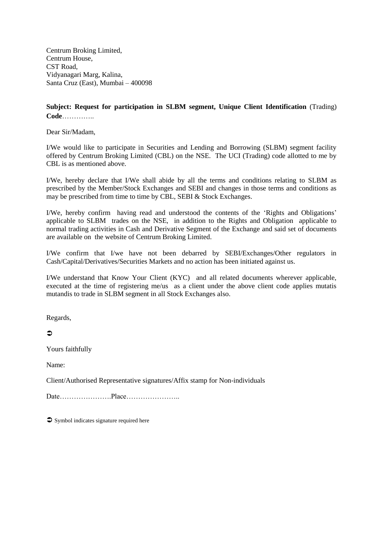Centrum Broking Limited, Centrum House, CST Road, Vidyanagari Marg, Kalina, Santa Cruz (East), Mumbai – 400098

# **Subject: Request for participation in SLBM segment, Unique Client Identification** (Trading) **Code**…………..

Dear Sir/Madam,

I/We would like to participate in Securities and Lending and Borrowing (SLBM) segment facility offered by Centrum Broking Limited (CBL) on the NSE. The UCI (Trading) code allotted to me by CBL is as mentioned above.

I/We, hereby declare that I/We shall abide by all the terms and conditions relating to SLBM as prescribed by the Member/Stock Exchanges and SEBI and changes in those terms and conditions as may be prescribed from time to time by CBL, SEBI & Stock Exchanges.

I/We, hereby confirm having read and understood the contents of the 'Rights and Obligations' applicable to SLBM trades on the NSE, in addition to the Rights and Obligation applicable to normal trading activities in Cash and Derivative Segment of the Exchange and said set of documents are available on the website of Centrum Broking Limited.

I/We confirm that I/we have not been debarred by SEBI/Exchanges/Other regulators in Cash/Capital/Derivatives/Securities Markets and no action has been initiated against us.

I/We understand that Know Your Client (KYC) and all related documents wherever applicable, executed at the time of registering me/us as a client under the above client code applies mutatis mutandis to trade in SLBM segment in all Stock Exchanges also.

Regards,

# $\Rightarrow$

Yours faithfully

Name:

Client/Authorised Representative signatures/Affix stamp for Non-individuals

Date………………….Place…………………..

 $\supset$  Symbol indicates signature required here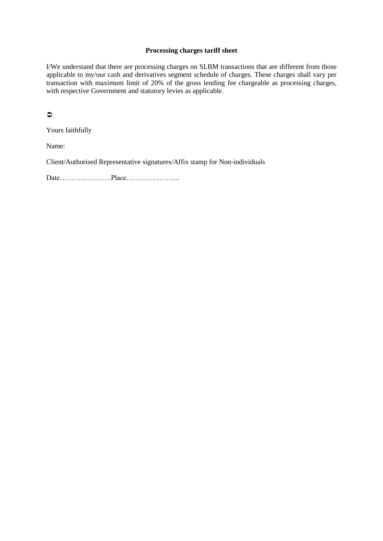### **Processing charges tariff sheet**

I/We understand that there are processing charges on SLBM transactions that are different from those applicable to my/our cash and derivatives segment schedule of charges. These charges shall vary per transaction with maximum limit of 20% of the gross lending fee chargeable as processing charges, with respective Government and statutory levies as applicable.

 $\bullet$ 

Yours faithfully

Name:

Client/Authorised Representative signatures/Affix stamp for Non-individuals

Date………………….Place…………………..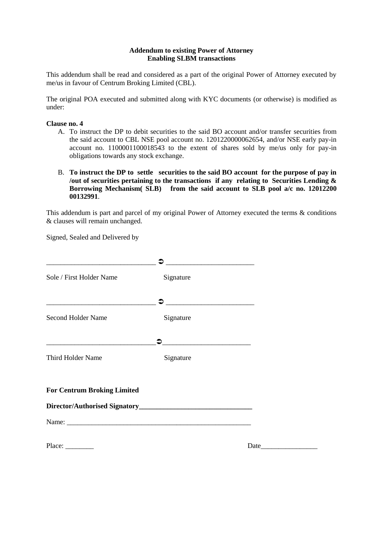#### **Addendum to existing Power of Attorney Enabling SLBM transactions**

This addendum shall be read and considered as a part of the original Power of Attorney executed by me/us in favour of Centrum Broking Limited (CBL).

The original POA executed and submitted along with KYC documents (or otherwise) is modified as under:

### **Clause no. 4**

- A. To instruct the DP to debit securities to the said BO account and/or transfer securities from the said account to CBL NSE pool account no. 1201220000062654, and/or NSE early pay-in account no. 1100001100018543 to the extent of shares sold by me/us only for pay-in obligations towards any stock exchange.
- B. **To instruct the DP to settle securities to the said BO account for the purpose of pay in /out of securities pertaining to the transactions if any relating to Securities Lending & Borrowing Mechanism( SLB) from the said account to SLB pool a/c no. 12012200 00132991**.

This addendum is part and parcel of my original Power of Attorney executed the terms & conditions & clauses will remain unchanged.

Signed, Sealed and Delivered by

| Sole / First Holder Name                                                                                                                          | Signature                                                             |  |
|---------------------------------------------------------------------------------------------------------------------------------------------------|-----------------------------------------------------------------------|--|
|                                                                                                                                                   | ≏<br><u> 1989 - Jan James James Barnett, fransk politik (d. 1989)</u> |  |
| <b>Second Holder Name</b><br><u> 1989 - Johann Harry Barn, mars ar breist ar yn y breist yn y breist ar y breist ar y breist ar y breist ar y</u> | Signature                                                             |  |
|                                                                                                                                                   | <u> 1989 - Jan James James, martin film eta politikari (h. 1989).</u> |  |
| Third Holder Name                                                                                                                                 | Signature                                                             |  |
| <b>For Centrum Broking Limited</b>                                                                                                                |                                                                       |  |
|                                                                                                                                                   |                                                                       |  |
|                                                                                                                                                   |                                                                       |  |
|                                                                                                                                                   |                                                                       |  |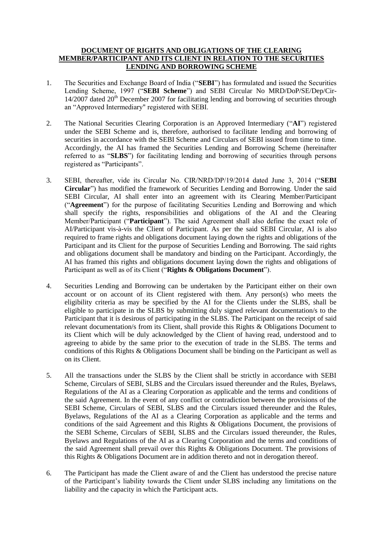### **DOCUMENT OF RIGHTS AND OBLIGATIONS OF THE CLEARING MEMBER/PARTICIPANT AND ITS CLIENT IN RELATION TO THE SECURITIES LENDING AND BORROWING SCHEME**

- 1. The Securities and Exchange Board of India ("**SEBI**") has formulated and issued the Securities Lending Scheme, 1997 ("**SEBI Scheme**") and SEBI Circular No MRD/DoP/SE/Dep/Cir- $14/2007$  dated  $20<sup>th</sup>$  December 2007 for facilitating lending and borrowing of securities through an "Approved Intermediary" registered with SEBI.
- 2. The National Securities Clearing Corporation is an Approved Intermediary ("**AI**") registered under the SEBI Scheme and is, therefore, authorised to facilitate lending and borrowing of securities in accordance with the SEBI Scheme and Circulars of SEBI issued from time to time. Accordingly, the AI has framed the Securities Lending and Borrowing Scheme (hereinafter referred to as "**SLBS**") for facilitating lending and borrowing of securities through persons registered as "Participants".
- 3. SEBI, thereafter, vide its Circular No. CIR/NRD/DP/19/2014 dated June 3, 2014 ("**SEBI Circular**") has modified the framework of Securities Lending and Borrowing. Under the said SEBI Circular, AI shall enter into an agreement with its Clearing Member/Participant ("**Agreement**") for the purpose of facilitating Securities Lending and Borrowing and which shall specify the rights, responsibilities and obligations of the AI and the Clearing Member/Participant ("**Participant**"). The said Agreement shall also define the exact role of AI/Participant vis-à-vis the Client of Participant. As per the said SEBI Circular, AI is also required to frame rights and obligations document laying down the rights and obligations of the Participant and its Client for the purpose of Securities Lending and Borrowing. The said rights and obligations document shall be mandatory and binding on the Participant. Accordingly, the AI has framed this rights and obligations document laying down the rights and obligations of Participant as well as of its Client ("**Rights & Obligations Document**").
- 4. Securities Lending and Borrowing can be undertaken by the Participant either on their own account or on account of its Client registered with them. Any person(s) who meets the eligibility criteria as may be specified by the AI for the Clients under the SLBS, shall be eligible to participate in the SLBS by submitting duly signed relevant documentation/s to the Participant that it is desirous of participating in the SLBS. The Participant on the receipt of said relevant documentation/s from its Client, shall provide this Rights & Obligations Document to its Client which will be duly acknowledged by the Client of having read, understood and to agreeing to abide by the same prior to the execution of trade in the SLBS. The terms and conditions of this Rights & Obligations Document shall be binding on the Participant as well as on its Client.
- 5. All the transactions under the SLBS by the Client shall be strictly in accordance with SEBI Scheme, Circulars of SEBI, SLBS and the Circulars issued thereunder and the Rules, Byelaws, Regulations of the AI as a Clearing Corporation as applicable and the terms and conditions of the said Agreement. In the event of any conflict or contradiction between the provisions of the SEBI Scheme, Circulars of SEBI, SLBS and the Circulars issued thereunder and the Rules, Byelaws, Regulations of the AI as a Clearing Corporation as applicable and the terms and conditions of the said Agreement and this Rights & Obligations Document, the provisions of the SEBI Scheme, Circulars of SEBI, SLBS and the Circulars issued thereunder, the Rules, Byelaws and Regulations of the AI as a Clearing Corporation and the terms and conditions of the said Agreement shall prevail over this Rights & Obligations Document. The provisions of this Rights & Obligations Document are in addition thereto and not in derogation thereof.
- 6. The Participant has made the Client aware of and the Client has understood the precise nature of the Participant's liability towards the Client under SLBS including any limitations on the liability and the capacity in which the Participant acts.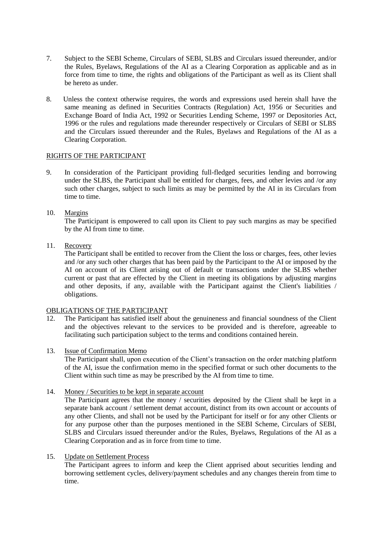- 7. Subject to the SEBI Scheme, Circulars of SEBI, SLBS and Circulars issued thereunder, and/or the Rules, Byelaws, Regulations of the AI as a Clearing Corporation as applicable and as in force from time to time, the rights and obligations of the Participant as well as its Client shall be hereto as under.
- 8. Unless the context otherwise requires, the words and expressions used herein shall have the same meaning as defined in Securities Contracts (Regulation) Act, 1956 or Securities and Exchange Board of India Act, 1992 or Securities Lending Scheme, 1997 or Depositories Act, 1996 or the rules and regulations made thereunder respectively or Circulars of SEBI or SLBS and the Circulars issued thereunder and the Rules, Byelaws and Regulations of the AI as a Clearing Corporation.

## RIGHTS OF THE PARTICIPANT

9. In consideration of the Participant providing full-fledged securities lending and borrowing under the SLBS, the Participant shall be entitled for charges, fees, and other levies and /or any such other charges, subject to such limits as may be permitted by the AI in its Circulars from time to time.

# 10. Margins

The Participant is empowered to call upon its Client to pay such margins as may be specified by the AI from time to time.

11. Recovery

The Participant shall be entitled to recover from the Client the loss or charges, fees, other levies and /or any such other charges that has been paid by the Participant to the AI or imposed by the AI on account of its Client arising out of default or transactions under the SLBS whether current or past that are effected by the Client in meeting its obligations by adjusting margins and other deposits, if any, available with the Participant against the Client's liabilities / obligations.

### OBLIGATIONS OF THE PARTICIPANT

- 12. The Participant has satisfied itself about the genuineness and financial soundness of the Client and the objectives relevant to the services to be provided and is therefore, agreeable to facilitating such participation subject to the terms and conditions contained herein.
- 13. Issue of Confirmation Memo

The Participant shall, upon execution of the Client's transaction on the order matching platform of the AI, issue the confirmation memo in the specified format or such other documents to the Client within such time as may be prescribed by the AI from time to time.

14. Money / Securities to be kept in separate account

The Participant agrees that the money / securities deposited by the Client shall be kept in a separate bank account / settlement demat account, distinct from its own account or accounts of any other Clients, and shall not be used by the Participant for itself or for any other Clients or for any purpose other than the purposes mentioned in the SEBI Scheme, Circulars of SEBI, SLBS and Circulars issued thereunder and/or the Rules, Byelaws, Regulations of the AI as a Clearing Corporation and as in force from time to time.

### 15. Update on Settlement Process

The Participant agrees to inform and keep the Client apprised about securities lending and borrowing settlement cycles, delivery/payment schedules and any changes therein from time to time.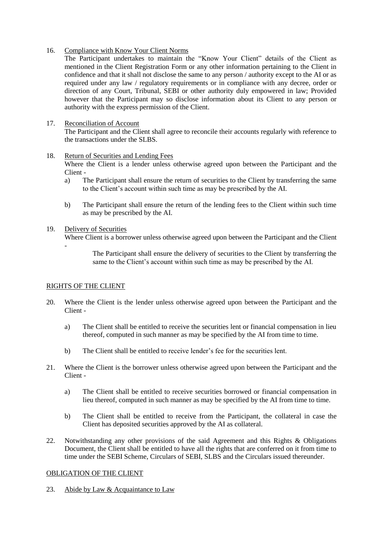16. Compliance with Know Your Client Norms

The Participant undertakes to maintain the "Know Your Client" details of the Client as mentioned in the Client Registration Form or any other information pertaining to the Client in confidence and that it shall not disclose the same to any person / authority except to the AI or as required under any law / regulatory requirements or in compliance with any decree, order or direction of any Court, Tribunal, SEBI or other authority duly empowered in law; Provided however that the Participant may so disclose information about its Client to any person or authority with the express permission of the Client.

## 17. Reconciliation of Account

The Participant and the Client shall agree to reconcile their accounts regularly with reference to the transactions under the SLBS.

### 18. Return of Securities and Lending Fees

Where the Client is a lender unless otherwise agreed upon between the Participant and the Client -

- a) The Participant shall ensure the return of securities to the Client by transferring the same to the Client's account within such time as may be prescribed by the AI.
- b) The Participant shall ensure the return of the lending fees to the Client within such time as may be prescribed by the AI.

## 19. Delivery of Securities

Where Client is a borrower unless otherwise agreed upon between the Participant and the Client

-

The Participant shall ensure the delivery of securities to the Client by transferring the same to the Client's account within such time as may be prescribed by the AI.

### RIGHTS OF THE CLIENT

- 20. Where the Client is the lender unless otherwise agreed upon between the Participant and the Client
	- a) The Client shall be entitled to receive the securities lent or financial compensation in lieu thereof, computed in such manner as may be specified by the AI from time to time.
	- b) The Client shall be entitled to receive lender's fee for the securities lent.
- 21. Where the Client is the borrower unless otherwise agreed upon between the Participant and the Client
	- a) The Client shall be entitled to receive securities borrowed or financial compensation in lieu thereof, computed in such manner as may be specified by the AI from time to time.
	- b) The Client shall be entitled to receive from the Participant, the collateral in case the Client has deposited securities approved by the AI as collateral.
- 22. Notwithstanding any other provisions of the said Agreement and this Rights & Obligations Document, the Client shall be entitled to have all the rights that are conferred on it from time to time under the SEBI Scheme, Circulars of SEBI, SLBS and the Circulars issued thereunder.

### OBLIGATION OF THE CLIENT

23. Abide by Law & Acquaintance to Law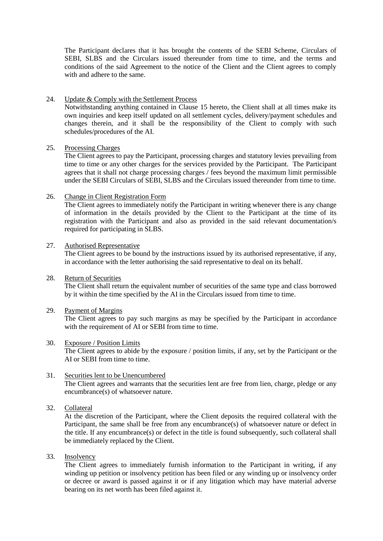The Participant declares that it has brought the contents of the SEBI Scheme, Circulars of SEBI, SLBS and the Circulars issued thereunder from time to time, and the terms and conditions of the said Agreement to the notice of the Client and the Client agrees to comply with and adhere to the same.

### 24. Update & Comply with the Settlement Process

Notwithstanding anything contained in Clause 15 hereto, the Client shall at all times make its own inquiries and keep itself updated on all settlement cycles, delivery/payment schedules and changes therein, and it shall be the responsibility of the Client to comply with such schedules/procedures of the AI.

#### 25. Processing Charges

The Client agrees to pay the Participant, processing charges and statutory levies prevailing from time to time or any other charges for the services provided by the Participant. The Participant agrees that it shall not charge processing charges / fees beyond the maximum limit permissible under the SEBI Circulars of SEBI, SLBS and the Circulars issued thereunder from time to time.

#### 26. Change in Client Registration Form

The Client agrees to immediately notify the Participant in writing whenever there is any change of information in the details provided by the Client to the Participant at the time of its registration with the Participant and also as provided in the said relevant documentation/s required for participating in SLBS.

#### 27. Authorised Representative

The Client agrees to be bound by the instructions issued by its authorised representative, if any, in accordance with the letter authorising the said representative to deal on its behalf.

### 28. Return of Securities

The Client shall return the equivalent number of securities of the same type and class borrowed by it within the time specified by the AI in the Circulars issued from time to time.

### 29. Payment of Margins

The Client agrees to pay such margins as may be specified by the Participant in accordance with the requirement of AI or SEBI from time to time.

#### 30. Exposure / Position Limits

The Client agrees to abide by the exposure / position limits, if any, set by the Participant or the AI or SEBI from time to time.

# 31. Securities lent to be Unencumbered

The Client agrees and warrants that the securities lent are free from lien, charge, pledge or any encumbrance(s) of whatsoever nature.

32. Collateral

At the discretion of the Participant, where the Client deposits the required collateral with the Participant, the same shall be free from any encumbrance(s) of whatsoever nature or defect in the title. If any encumbrance(s) or defect in the title is found subsequently, such collateral shall be immediately replaced by the Client.

## 33. Insolvency

The Client agrees to immediately furnish information to the Participant in writing, if any winding up petition or insolvency petition has been filed or any winding up or insolvency order or decree or award is passed against it or if any litigation which may have material adverse bearing on its net worth has been filed against it.